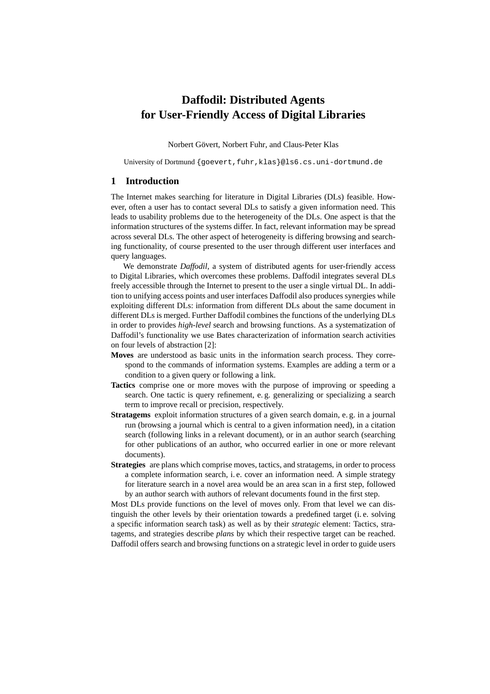# **Daffodil: Distributed Agents for User-Friendly Access of Digital Libraries**

Norbert Gövert, Norbert Fuhr, and Claus-Peter Klas

University of Dortmund {goevert,fuhr,klas}@ls6.cs.uni-dortmund.de

### **1 Introduction**

The Internet makes searching for literature in Digital Libraries (DLs) feasible. However, often a user has to contact several DLs to satisfy a given information need. This leads to usability problems due to the heterogeneity of the DLs. One aspect is that the information structures of the systems differ. In fact, relevant information may be spread across several DLs. The other aspect of heterogeneity is differing browsing and searching functionality, of course presented to the user through different user interfaces and query languages.

We demonstrate *Daffodil*, a system of distributed agents for user-friendly access to Digital Libraries, which overcomes these problems. Daffodil integrates several DLs freely accessible through the Internet to present to the user a single virtual DL. In addition to unifying access points and user interfaces Daffodil also produces synergies while exploiting different DLs: information from different DLs about the same document in different DLs is merged. Further Daffodil combines the functions of the underlying DLs in order to provides *high-level* search and browsing functions. As a systematization of Daffodil's functionality we use Bates characterization of information search activities on four levels of abstraction [2]:

- **Moves** are understood as basic units in the information search process. They correspond to the commands of information systems. Examples are adding a term or a condition to a given query or following a link.
- **Tactics** comprise one or more moves with the purpose of improving or speeding a search. One tactic is query refinement, e. g. generalizing or specializing a search term to improve recall or precision, respectively.
- **Stratagems** exploit information structures of a given search domain, e. g. in a journal run (browsing a journal which is central to a given information need), in a citation search (following links in a relevant document), or in an author search (searching for other publications of an author, who occurred earlier in one or more relevant documents).
- **Strategies** are plans which comprise moves, tactics, and stratagems, in order to process a complete information search, i. e. cover an information need. A simple strategy for literature search in a novel area would be an area scan in a first step, followed by an author search with authors of relevant documents found in the first step.

Most DLs provide functions on the level of moves only. From that level we can distinguish the other levels by their orientation towards a predefined target (i. e. solving a specific information search task) as well as by their *strategic* element: Tactics, stratagems, and strategies describe *plans* by which their respective target can be reached. Daffodil offers search and browsing functions on a strategic level in order to guide users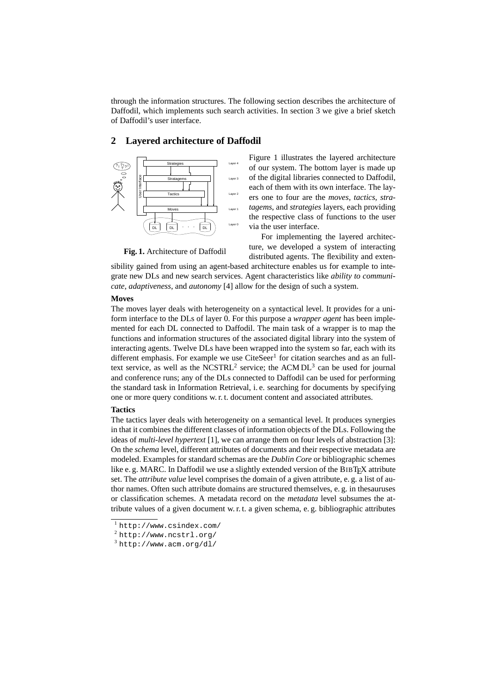through the information structures. The following section describes the architecture of Daffodil, which implements such search activities. In section 3 we give a brief sketch of Daffodil's user interface.

### **2 Layered architecture of Daffodil**



**Fig. 1.** Architecture of Daffodil

Figure 1 illustrates the layered architecture of our system. The bottom layer is made up of the digital libraries connected to Daffodil, each of them with its own interface. The layers one to four are the *moves*, *tactics*, *stratagems*, and *strategies* layers, each providing the respective class of functions to the user via the user interface.

For implementing the layered architecture, we developed a system of interacting distributed agents. The flexibility and exten-

sibility gained from using an agent-based architecture enables us for example to integrate new DLs and new search services. Agent characteristics like *ability to communicate*, *adaptiveness*, and *autonomy* [4] allow for the design of such a system.

### **Moves**

The moves layer deals with heterogeneity on a syntactical level. It provides for a uniform interface to the DLs of layer 0. For this purpose a *wrapper agent* has been implemented for each DL connected to Daffodil. The main task of a wrapper is to map the functions and information structures of the associated digital library into the system of interacting agents. Twelve DLs have been wrapped into the system so far, each with its different emphasis. For example we use CiteSeer<sup>1</sup> for citation searches and as an fulltext service, as well as the NCSTRL<sup>2</sup> service; the ACM DL<sup>3</sup> can be used for journal and conference runs; any of the DLs connected to Daffodil can be used for performing the standard task in Information Retrieval, i. e. searching for documents by specifying one or more query conditions w. r. t. document content and associated attributes.

### **Tactics**

The tactics layer deals with heterogeneity on a semantical level. It produces synergies in that it combines the different classes of information objects of the DLs. Following the ideas of *multi-level hypertext* [1], we can arrange them on four levels of abstraction [3]: On the *schema* level, different attributes of documents and their respective metadata are modeled. Examples for standard schemas are the *Dublin Core* or bibliographic schemes like e.g. MARC. In Daffodil we use a slightly extended version of the BIBT<sub>EX</sub> attribute set. The *attribute value* level comprises the domain of a given attribute, e. g. a list of author names. Often such attribute domains are structured themselves, e. g. in thesauruses or classification schemes. A metadata record on the *metadata* level subsumes the attribute values of a given document w. r. t. a given schema, e. g. bibliographic attributes

<sup>1</sup> http://www.csindex.com/

<sup>2</sup> http://www.ncstrl.org/

 $3$ http://www.acm.org/dl/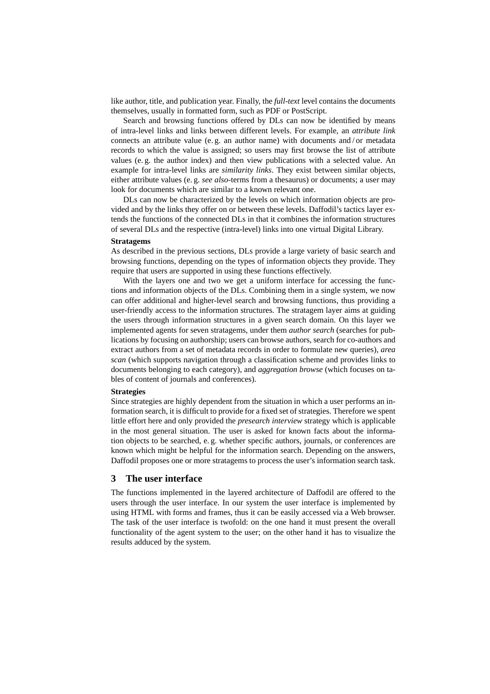like author, title, and publication year. Finally, the *full-text* level contains the documents themselves, usually in formatted form, such as PDF or PostScript.

Search and browsing functions offered by DLs can now be identified by means of intra-level links and links between different levels. For example, an *attribute link* connects an attribute value (e. g. an author name) with documents and / or metadata records to which the value is assigned; so users may first browse the list of attribute values (e. g. the author index) and then view publications with a selected value. An example for intra-level links are *similarity links*. They exist between similar objects, either attribute values (e. g. *see also*-terms from a thesaurus) or documents; a user may look for documents which are similar to a known relevant one.

DLs can now be characterized by the levels on which information objects are provided and by the links they offer on or between these levels. Daffodil's tactics layer extends the functions of the connected DLs in that it combines the information structures of several DLs and the respective (intra-level) links into one virtual Digital Library.

#### **Stratagems**

As described in the previous sections, DLs provide a large variety of basic search and browsing functions, depending on the types of information objects they provide. They require that users are supported in using these functions effectively.

With the layers one and two we get a uniform interface for accessing the functions and information objects of the DLs. Combining them in a single system, we now can offer additional and higher-level search and browsing functions, thus providing a user-friendly access to the information structures. The stratagem layer aims at guiding the users through information structures in a given search domain. On this layer we implemented agents for seven stratagems, under them *author search* (searches for publications by focusing on authorship; users can browse authors, search for co-authors and extract authors from a set of metadata records in order to formulate new queries), *area scan* (which supports navigation through a classification scheme and provides links to documents belonging to each category), and *aggregation browse* (which focuses on tables of content of journals and conferences).

### **Strategies**

Since strategies are highly dependent from the situation in which a user performs an information search, it is difficult to provide for a fixed set of strategies. Therefore we spent little effort here and only provided the *presearch interview* strategy which is applicable in the most general situation. The user is asked for known facts about the information objects to be searched, e. g. whether specific authors, journals, or conferences are known which might be helpful for the information search. Depending on the answers, Daffodil proposes one or more stratagems to process the user's information search task.

### **3 The user interface**

The functions implemented in the layered architecture of Daffodil are offered to the users through the user interface. In our system the user interface is implemented by using HTML with forms and frames, thus it can be easily accessed via a Web browser. The task of the user interface is twofold: on the one hand it must present the overall functionality of the agent system to the user; on the other hand it has to visualize the results adduced by the system.